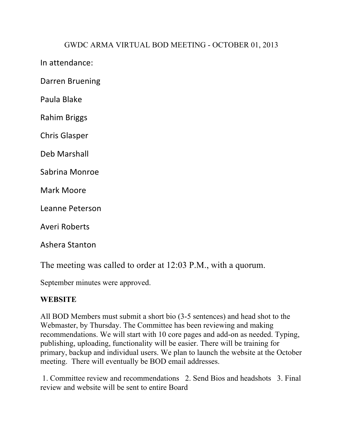## GWDC ARMA VIRTUAL BOD MEETING - OCTOBER 01, 2013

In attendance:

Darren Bruening

Paula Blake

Rahim Briggs

Chris Glasper

Deb Marshall

Sabrina Monroe

Mark Moore

Leanne Peterson

Averi Roberts

Ashera Stanton

The meeting was called to order at 12:03 P.M., with a quorum.

September minutes were approved.

#### **WEBSITE**

All BOD Members must submit a short bio (3-5 sentences) and head shot to the Webmaster, by Thursday. The Committee has been reviewing and making recommendations. We will start with 10 core pages and add-on as needed. Typing, publishing, uploading, functionality will be easier. There will be training for primary, backup and individual users. We plan to launch the website at the October meeting. There will eventually be BOD email addresses.

1. Committee review and recommendations 2. Send Bios and headshots 3. Final review and website will be sent to entire Board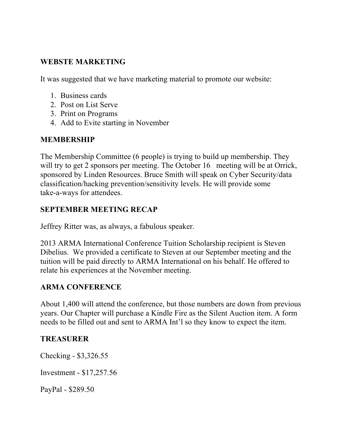## **WEBSTE MARKETING**

It was suggested that we have marketing material to promote our website:

- 1. Business cards
- 2. Post on List Serve
- 3. Print on Programs
- 4. Add to Evite starting in November

## **MEMBERSHIP**

The Membership Committee (6 people) is trying to build up membership. They will try to get 2 sponsors per meeting. The October 16 meeting will be at Orrick, sponsored by Linden Resources. Bruce Smith will speak on Cyber Security/data classification/hacking prevention/sensitivity levels. He will provide some take-a-ways for attendees.

## **SEPTEMBER MEETING RECAP**

Jeffrey Ritter was, as always, a fabulous speaker.

2013 ARMA International Conference Tuition Scholarship recipient is Steven Dibelius. We provided a certificate to Steven at our September meeting and the tuition will be paid directly to ARMA International on his behalf. He offered to relate his experiences at the November meeting.

## **ARMA CONFERENCE**

About 1,400 will attend the conference, but those numbers are down from previous years. Our Chapter will purchase a Kindle Fire as the Silent Auction item. A form needs to be filled out and sent to ARMA Int'l so they know to expect the item.

#### **TREASURER**

Checking - \$3,326.55

Investment - \$17,257.56

PayPal - \$289.50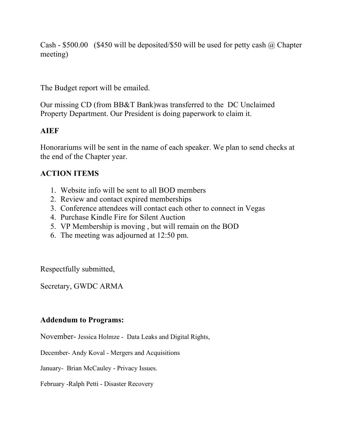Cash - \$500.00 (\$450 will be deposited/\$50 will be used for petty cash @ Chapter meeting)

The Budget report will be emailed.

Our missing CD (from BB&T Bank)was transferred to the DC Unclaimed Property Department. Our President is doing paperwork to claim it.

## **AIEF**

Honorariums will be sent in the name of each speaker. We plan to send checks at the end of the Chapter year.

# **ACTION ITEMS**

- 1. Website info will be sent to all BOD members
- 2. Review and contact expired memberships
- 3. Conference attendees will contact each other to connect in Vegas
- 4. Purchase Kindle Fire for Silent Auction
- 5. VP Membership is moving , but will remain on the BOD
- 6. The meeting was adjourned at 12:50 pm.

Respectfully submitted,

Secretary, GWDC ARMA

## **Addendum to Programs:**

November- Jessica Holmze - Data Leaks and Digital Rights,

December- Andy Koval - Mergers and Acquisitions

January- Brian McCauley - Privacy Issues.

February -Ralph Petti - Disaster Recovery